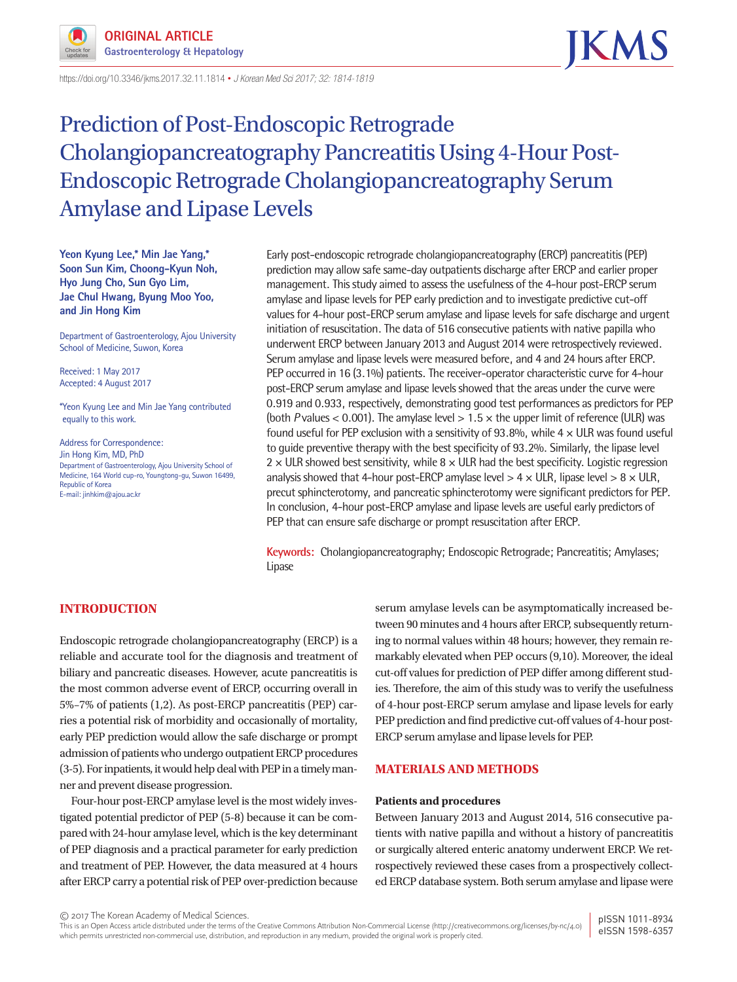

[https://doi.org](http://crossmark.crossref.org/dialog/?doi=10.3346/jkms.2017.32.11.1814&domain=pdf&date_stamp=2017-09-29)/10.3346/jkms.2017.32.11.1814 • *J Korean Med Sci 2017; 32: 1814-1819* 

# Prediction of Post-Endoscopic Retrograde Cholangiopancreatography Pancreatitis Using 4-Hour Post-Endoscopic Retrograde Cholangiopancreatography Serum Amylase and Lipase Levels

**Yeon Kyung Lee,\* Min Jae Yang,\* Soon Sun Kim, Choong-Kyun Noh, Hyo Jung Cho, Sun Gyo Lim, Jae Chul Hwang, Byung Moo Yoo, and Jin Hong Kim**

Department of Gastroenterology, Ajou University School of Medicine, Suwon, Korea

Received: 1 May 2017 Accepted: 4 August 2017

\*Yeon Kyung Lee and Min Jae Yang contributed equally to this work.

Address for Correspondence: Jin Hong Kim, MD, PhD Department of Gastroenterology, Ajou University School of Medicine, 164 World cup-ro, Youngtong-gu, Suwon 16499, Republic of Korea E-mail: jinhkim@ajou.ac.kr

Early post-endoscopic retrograde cholangiopancreatography (ERCP) pancreatitis (PEP) prediction may allow safe same-day outpatients discharge after ERCP and earlier proper management. This study aimed to assess the usefulness of the 4-hour post-ERCP serum amylase and lipase levels for PEP early prediction and to investigate predictive cut-off values for 4-hour post-ERCP serum amylase and lipase levels for safe discharge and urgent initiation of resuscitation. The data of 516 consecutive patients with native papilla who underwent ERCP between January 2013 and August 2014 were retrospectively reviewed. Serum amylase and lipase levels were measured before, and 4 and 24 hours after ERCP. PEP occurred in 16 (3.1%) patients. The receiver-operator characteristic curve for 4-hour post-ERCP serum amylase and lipase levels showed that the areas under the curve were 0.919 and 0.933, respectively, demonstrating good test performances as predictors for PEP (both P values < 0.001). The amylase level >  $1.5 \times$  the upper limit of reference (ULR) was found useful for PEP exclusion with a sensitivity of 93.8%, while  $4 \times$  ULR was found useful to guide preventive therapy with the best specificity of 93.2%. Similarly, the lipase level  $2 \times$  ULR showed best sensitivity, while 8  $\times$  ULR had the best specificity. Logistic regression analysis showed that 4-hour post-ERCP amylase level  $> 4 \times ULR$ , lipase level  $> 8 \times ULR$ , precut sphincterotomy, and pancreatic sphincterotomy were significant predictors for PEP. In conclusion, 4-hour post-ERCP amylase and lipase levels are useful early predictors of PEP that can ensure safe discharge or prompt resuscitation after ERCP.

**Keywords:** Cholangiopancreatography; Endoscopic Retrograde; Pancreatitis; Amylases; Lipase

# **INTRODUCTION**

Endoscopic retrograde cholangiopancreatography (ERCP) is a reliable and accurate tool for the diagnosis and treatment of biliary and pancreatic diseases. However, acute pancreatitis is the most common adverse event of ERCP, occurring overall in 5%–7% of patients (1,2). As post-ERCP pancreatitis (PEP) carries a potential risk of morbidity and occasionally of mortality, early PEP prediction would allow the safe discharge or prompt admission of patients who undergo outpatient ERCP procedures (3-5). For inpatients, it would help deal with PEP in a timely manner and prevent disease progression.

Four-hour post-ERCP amylase level is the most widely investigated potential predictor of PEP (5-8) because it can be compared with 24-hour amylase level, which is the key determinant of PEP diagnosis and a practical parameter for early prediction and treatment of PEP. However, the data measured at 4 hours after ERCP carry a potential risk of PEP over-prediction because

serum amylase levels can be asymptomatically increased between 90 minutes and 4 hours after ERCP, subsequently returning to normal values within 48 hours; however, they remain remarkably elevated when PEP occurs (9,10). Moreover, the ideal cut-off values for prediction of PEP differ among different studies. Therefore, the aim of this study was to verify the usefulness of 4-hour post-ERCP serum amylase and lipase levels for early PEP prediction and find predictive cut-off values of 4-hour post-ERCP serum amylase and lipase levels for PEP.

#### **MATERIALS AND METHODS**

#### **Patients and procedures**

Between January 2013 and August 2014, 516 consecutive patients with native papilla and without a history of pancreatitis or surgically altered enteric anatomy underwent ERCP. We retrospectively reviewed these cases from a prospectively collected ERCP database system. Both serum amylase and lipase were

© 2017 The Korean Academy of Medical Sciences.

This is an Open Access article distributed under the terms of the Creative Commons Attribution Non-Commercial License (http://creativecommons.org/licenses/by-nc/4.0) which permits unrestricted non-commercial use, distribution, and reproduction in any medium, provided the original work is properly cited. pISSN 1011-8934 eISSN 1598-6357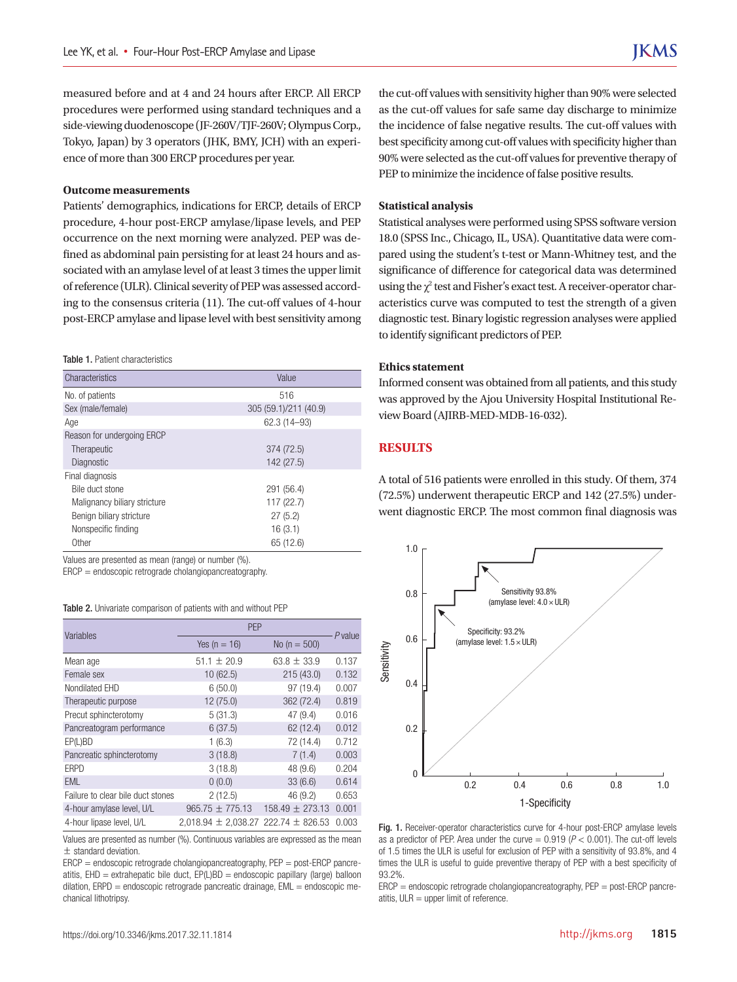measured before and at 4 and 24 hours after ERCP. All ERCP procedures were performed using standard techniques and a side-viewing duodenoscope (JF-260V/TJF-260V; Olympus Corp., Tokyo, Japan) by 3 operators (JHK, BMY, JCH) with an experience of more than 300 ERCP procedures per year.

#### **Outcome measurements**

Patients' demographics, indications for ERCP, details of ERCP procedure, 4-hour post-ERCP amylase/lipase levels, and PEP occurrence on the next morning were analyzed. PEP was defined as abdominal pain persisting for at least 24 hours and associated with an amylase level of at least 3 times the upper limit of reference (ULR). Clinical severity of PEP was assessed according to the consensus criteria (11). The cut-off values of 4-hour post-ERCP amylase and lipase level with best sensitivity among

#### Table 1. Patient characteristics

| Characteristics              | Value                 |
|------------------------------|-----------------------|
| No. of patients              | 516                   |
| Sex (male/female)            | 305 (59.1)/211 (40.9) |
| Age                          | $62.3(14-93)$         |
| Reason for undergoing ERCP   |                       |
| Therapeutic                  | 374 (72.5)            |
| Diagnostic                   | 142 (27.5)            |
| Final diagnosis              |                       |
| Bile duct stone              | 291 (56.4)            |
| Malignancy biliary stricture | 117(22.7)             |
| Benign biliary stricture     | 27(5.2)               |
| Nonspecific finding          | 16(3.1)               |
| Other                        | 65 (12.6)             |

Values are presented as mean (range) or number (%).

ERCP = endoscopic retrograde cholangiopancreatography.

| Table 2. Univariate comparison of patients with and without PEP |  |  |
|-----------------------------------------------------------------|--|--|
|-----------------------------------------------------------------|--|--|

| Variables                         | PEP                                         |                     |         |  |
|-----------------------------------|---------------------------------------------|---------------------|---------|--|
|                                   | Yes ( $n = 16$ )                            | No ( $n = 500$ )    | P value |  |
| Mean age                          | $51.1 + 20.9$                               | $63.8 + 33.9$       | 0.137   |  |
| Female sex                        | 10(62.5)                                    | 215(43.0)           | 0.132   |  |
| Nondilated EHD                    | 6(50.0)                                     | 97 (19.4)           | 0.007   |  |
| Therapeutic purpose               | 12 (75.0)                                   | 362 (72.4)          | 0.819   |  |
| Precut sphincterotomy             | 5(31.3)                                     | 47(9.4)             | 0.016   |  |
| Pancreatogram performance         | 6(37.5)                                     | 62 (12.4)           | 0.012   |  |
| EP(L)BD                           | 1(6.3)                                      | 72 (14.4)           | 0.712   |  |
| Pancreatic sphincterotomy         | 3(18.8)                                     | 7(1.4)              | 0.003   |  |
| <b>ERPD</b>                       | 3(18.8)                                     | 48 (9.6)            | 0.204   |  |
| <b>EML</b>                        | 0(0.0)                                      | 33(6.6)             | 0.614   |  |
| Failure to clear bile duct stones | 2(12.5)                                     | 46 (9.2)            | 0.653   |  |
| 4-hour amylase level, U/L         | $965.75 \pm 775.13$                         | $158.49 \pm 273.13$ | 0.001   |  |
| 4-hour lipase level, U/L          | $2.018.94 \pm 2.038.27$ 222.74 $\pm$ 826.53 |                     | 0.003   |  |

Values are presented as number (%). Continuous variables are expressed as the mean ± standard deviation.

ERCP = endoscopic retrograde cholangiopancreatography, PEP = post-ERCP pancreatitis,  $EHD =$  extrahepatic bile duct,  $EPI(\text{NBD}) =$  endoscopic papillary (large) balloon dilation,  $ERPD = endoscopic retrograde parameterization, EML = endoscopic me$ chanical lithotripsy.

the cut-off values with sensitivity higher than 90% were selected as the cut-off values for safe same day discharge to minimize the incidence of false negative results. The cut-off values with best specificity among cut-off values with specificity higher than 90% were selected as the cut-off values for preventive therapy of PEP to minimize the incidence of false positive results.

#### **Statistical analysis**

Statistical analyses were performed using SPSS software version 18.0 (SPSS Inc., Chicago, IL, USA). Quantitative data were compared using the student's t-test or Mann-Whitney test, and the significance of difference for categorical data was determined using the  $\chi^2$  test and Fisher's exact test. A receiver-operator characteristics curve was computed to test the strength of a given diagnostic test. Binary logistic regression analyses were applied to identify significant predictors of PEP.

#### **Ethics statement**

Informed consent was obtained from all patients, and this study was approved by the Ajou University Hospital Institutional Review Board (AJIRB-MED-MDB-16-032).

# **RESULTS**

A total of 516 patients were enrolled in this study. Of them, 374 (72.5%) underwent therapeutic ERCP and 142 (27.5%) underwent diagnostic ERCP. The most common final diagnosis was



Fig. 1. Receiver-operator characteristics curve for 4-hour post-ERCP amylase levels as a predictor of PEP. Area under the curve  $= 0.919$  ( $P < 0.001$ ). The cut-off levels of 1.5 times the ULR is useful for exclusion of PEP with a sensitivity of 93.8%, and 4 times the ULR is useful to guide preventive therapy of PEP with a best specificity of 93.2%.

 $ERCP = endoscopic retrograde cholangiopancreatography,  $PEP = post-ERCP$  pancre-$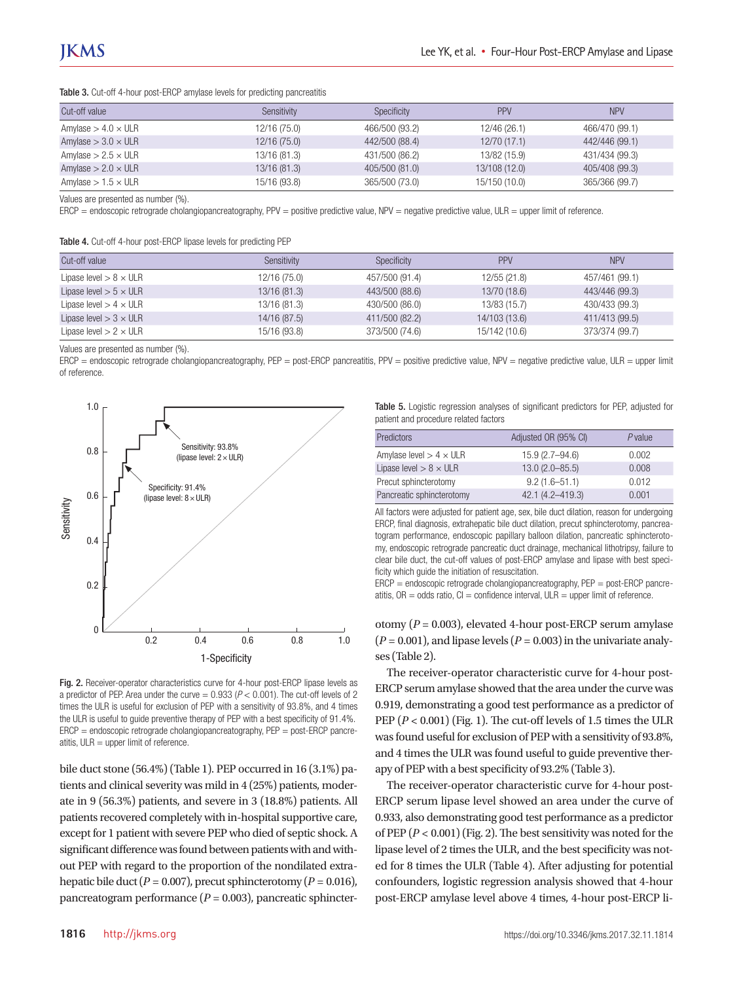Table 3. Cut-off 4-hour post-ERCP amylase levels for predicting pancreatitis

| Cut-off value                | Sensitivity  | Specificity    | <b>PPV</b>    | <b>NPV</b>     |
|------------------------------|--------------|----------------|---------------|----------------|
| Amylase $> 4.0 \times ULR$   | 12/16 (75.0) | 466/500 (93.2) | 12/46 (26.1)  | 466/470 (99.1) |
| Amylase $>$ 3.0 $\times$ ULR | 12/16 (75.0) | 442/500 (88.4) | 12/70(17.1)   | 442/446 (99.1) |
| Amylase $> 2.5 \times ULR$   | 13/16 (81.3) | 431/500 (86.2) | 13/82 (15.9)  | 431/434 (99.3) |
| Amylase $> 2.0 \times ULR$   | 13/16 (81.3) | 405/500 (81.0) | 13/108 (12.0) | 405/408 (99.3) |
| Amylase $> 1.5 \times ULR$   | 15/16 (93.8) | 365/500 (73.0) | 15/150 (10.0) | 365/366 (99.7) |

Values are presented as number (%).

 $ERCP =$  endoscopic retrograde cholangiopancreatography, PPV = positive predictive value, NPV = negative predictive value, ULR = upper limit of reference.

Table 4. Cut-off 4-hour post-ERCP lipase levels for predicting PEP

| Cut-off value                   | Sensitivity  | Specificity    | <b>PPV</b>    | <b>NPV</b>     |
|---------------------------------|--------------|----------------|---------------|----------------|
| Lipase level $> 8 \times$ ULR   | 12/16 (75.0) | 457/500 (91.4) | 12/55 (21.8)  | 457/461 (99.1) |
| Lipase level $> 5 \times$ ULR   | 13/16 (81.3) | 443/500 (88.6) | 13/70 (18.6)  | 443/446 (99.3) |
| Lipase level $> 4 \times$ ULR   | 13/16 (81.3) | 430/500 (86.0) | 13/83 (15.7)  | 430/433 (99.3) |
| Lipase level $>$ 3 $\times$ ULR | 14/16 (87.5) | 411/500 (82.2) | 14/103 (13.6) | 411/413 (99.5) |
| Lipase level $> 2 \times ULR$   | 15/16 (93.8) | 373/500 (74.6) | 15/142 (10.6) | 373/374 (99.7) |

Values are presented as number (%).

 $ERCP =$  endoscopic retrograde cholangiopancreatography, PEP = post-ERCP pancreatitis, PPV = positive predictive value, NPV = negative predictive value, ULR = upper limit of reference.



Fig. 2. Receiver-operator characteristics curve for 4-hour post-ERCP lipase levels as a predictor of PEP. Area under the curve = 0.933 (*P* < 0.001). The cut-off levels of 2 times the ULR is useful for exclusion of PEP with a sensitivity of 93.8%, and 4 times the ULR is useful to guide preventive therapy of PEP with a best specificity of 91.4%. ERCP = endoscopic retrograde cholangiopancreatography, PEP = post-ERCP pancre-

bile duct stone (56.4%) (Table 1). PEP occurred in 16 (3.1%) patients and clinical severity was mild in 4 (25%) patients, moderate in 9 (56.3%) patients, and severe in 3 (18.8%) patients. All patients recovered completely with in-hospital supportive care, except for 1 patient with severe PEP who died of septic shock. A significant difference was found between patients with and without PEP with regard to the proportion of the nondilated extrahepatic bile duct ( $P = 0.007$ ), precut sphincterotomy ( $P = 0.016$ ), pancreatogram performance (*P* = 0.003), pancreatic sphincterTable 5. Logistic regression analyses of significant predictors for PEP, adjusted for patient and procedure related factors

| Predictors                     | Adjusted OR (95% CI) | <i>P</i> value |
|--------------------------------|----------------------|----------------|
| Amylase level $> 4 \times$ ULR | 15.9 (2.7-94.6)      | 0.002          |
| Lipase level $> 8 \times$ ULR  | $13.0(2.0 - 85.5)$   | 0.008          |
| Precut sphincterotomy          | $9.2(1.6 - 51.1)$    | 0.012          |
| Pancreatic sphincterotomy      | 42.1 (4.2-419.3)     | 0.001          |

All factors were adjusted for patient age, sex, bile duct dilation, reason for undergoing ERCP, final diagnosis, extrahepatic bile duct dilation, precut sphincterotomy, pancreatogram performance, endoscopic papillary balloon dilation, pancreatic sphincterotomy, endoscopic retrograde pancreatic duct drainage, mechanical lithotripsy, failure to clear bile duct, the cut-off values of post-ERCP amylase and lipase with best specificity which guide the initiation of resuscitation.

 $ERCP =$  endoscopic retrograde cholangiopancreatography,  $PEP =$  post-ERCP pancreatitis,  $OR = odds ratio$ ,  $Cl = confidence interval$ ,  $ULAR = upper limit of reference$ .

otomy (*P* = 0.003), elevated 4-hour post-ERCP serum amylase  $(P = 0.001)$ , and lipase levels  $(P = 0.003)$  in the univariate analyses (Table 2).

The receiver-operator characteristic curve for 4-hour post-ERCP serum amylase showed that the area under the curve was 0.919, demonstrating a good test performance as a predictor of PEP ( $P < 0.001$ ) (Fig. 1). The cut-off levels of 1.5 times the ULR was found useful for exclusion of PEP with a sensitivity of 93.8%, and 4 times the ULR was found useful to guide preventive therapy of PEP with a best specificity of 93.2% (Table 3).

The receiver-operator characteristic curve for 4-hour post-ERCP serum lipase level showed an area under the curve of 0.933, also demonstrating good test performance as a predictor of PEP (*P* < 0.001) (Fig. 2). The best sensitivity was noted for the lipase level of 2 times the ULR, and the best specificity was noted for 8 times the ULR (Table 4). After adjusting for potential confounders, logistic regression analysis showed that 4-hour post-ERCP amylase level above 4 times, 4-hour post-ERCP li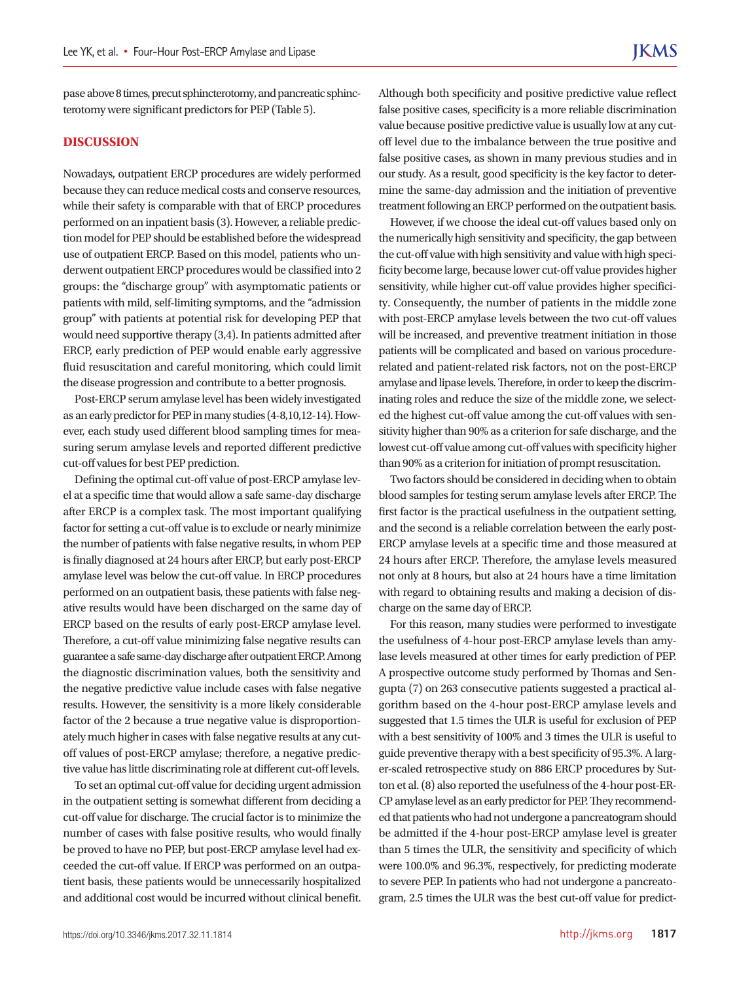pase above 8 times, precut sphincterotomy, and pancreatic sphincterotomy were significant predictors for PEP (Table 5).

# **DISCUSSION**

Nowadays, outpatient ERCP procedures are widely performed because they can reduce medical costs and conserve resources, while their safety is comparable with that of ERCP procedures performed on an inpatient basis (3). However, a reliable prediction model for PEP should be established before the widespread use of outpatient ERCP. Based on this model, patients who underwent outpatient ERCP procedures would be classified into 2 groups: the "discharge group" with asymptomatic patients or patients with mild, self-limiting symptoms, and the "admission group" with patients at potential risk for developing PEP that would need supportive therapy (3,4). In patients admitted after ERCP, early prediction of PEP would enable early aggressive fluid resuscitation and careful monitoring, which could limit the disease progression and contribute to a better prognosis.

Post-ERCP serum amylase level has been widely investigated as an early predictor for PEP in many studies (4-8,10,12-14). However, each study used different blood sampling times for measuring serum amylase levels and reported different predictive cut-off values for best PEP prediction.

Defining the optimal cut-off value of post-ERCP amylase level at a specific time that would allow a safe same-day discharge after ERCP is a complex task. The most important qualifying factor for setting a cut-off value is to exclude or nearly minimize the number of patients with false negative results, in whom PEP is finally diagnosed at 24 hours after ERCP, but early post-ERCP amylase level was below the cut-off value. In ERCP procedures performed on an outpatient basis, these patients with false negative results would have been discharged on the same day of ERCP based on the results of early post-ERCP amylase level. Therefore, a cut-off value minimizing false negative results can guarantee a safe same-day discharge after outpatient ERCP. Among the diagnostic discrimination values, both the sensitivity and the negative predictive value include cases with false negative results. However, the sensitivity is a more likely considerable factor of the 2 because a true negative value is disproportionately much higher in cases with false negative results at any cutoff values of post-ERCP amylase; therefore, a negative predictive value has little discriminating role at different cut-off levels.

To set an optimal cut-off value for deciding urgent admission in the outpatient setting is somewhat different from deciding a cut-off value for discharge. The crucial factor is to minimize the number of cases with false positive results, who would finally be proved to have no PEP, but post-ERCP amylase level had exceeded the cut-off value. If ERCP was performed on an outpatient basis, these patients would be unnecessarily hospitalized and additional cost would be incurred without clinical benefit.

Although both specificity and positive predictive value reflect false positive cases, specificity is a more reliable discrimination value because positive predictive value is usually low at any cutoff level due to the imbalance between the true positive and false positive cases, as shown in many previous studies and in our study. As a result, good specificity is the key factor to determine the same-day admission and the initiation of preventive treatment following an ERCP performed on the outpatient basis.

However, if we choose the ideal cut-off values based only on the numerically high sensitivity and specificity, the gap between the cut-off value with high sensitivity and value with high specificity become large, because lower cut-off value provides higher sensitivity, while higher cut-off value provides higher specificity. Consequently, the number of patients in the middle zone with post-ERCP amylase levels between the two cut-off values will be increased, and preventive treatment initiation in those patients will be complicated and based on various procedurerelated and patient-related risk factors, not on the post-ERCP amylase and lipase levels. Therefore, in order to keep the discriminating roles and reduce the size of the middle zone, we selected the highest cut-off value among the cut-off values with sensitivity higher than 90% as a criterion for safe discharge, and the lowest cut-off value among cut-off values with specificity higher than 90% as a criterion for initiation of prompt resuscitation.

Two factors should be considered in deciding when to obtain blood samples for testing serum amylase levels after ERCP. The first factor is the practical usefulness in the outpatient setting, and the second is a reliable correlation between the early post-ERCP amylase levels at a specific time and those measured at 24 hours after ERCP. Therefore, the amylase levels measured not only at 8 hours, but also at 24 hours have a time limitation with regard to obtaining results and making a decision of discharge on the same day of ERCP.

For this reason, many studies were performed to investigate the usefulness of 4-hour post-ERCP amylase levels than amylase levels measured at other times for early prediction of PEP. A prospective outcome study performed by Thomas and Sengupta (7) on 263 consecutive patients suggested a practical algorithm based on the 4-hour post-ERCP amylase levels and suggested that 1.5 times the ULR is useful for exclusion of PEP with a best sensitivity of 100% and 3 times the ULR is useful to guide preventive therapy with a best specificity of 95.3%. A larger-scaled retrospective study on 886 ERCP procedures by Sutton et al. (8) also reported the usefulness of the 4-hour post-ER-CP amylase level as an early predictor for PEP. They recommended that patients who had not undergone a pancreatogram should be admitted if the 4-hour post-ERCP amylase level is greater than 5 times the ULR, the sensitivity and specificity of which were 100.0% and 96.3%, respectively, for predicting moderate to severe PEP. In patients who had not undergone a pancreatogram, 2.5 times the ULR was the best cut-off value for predict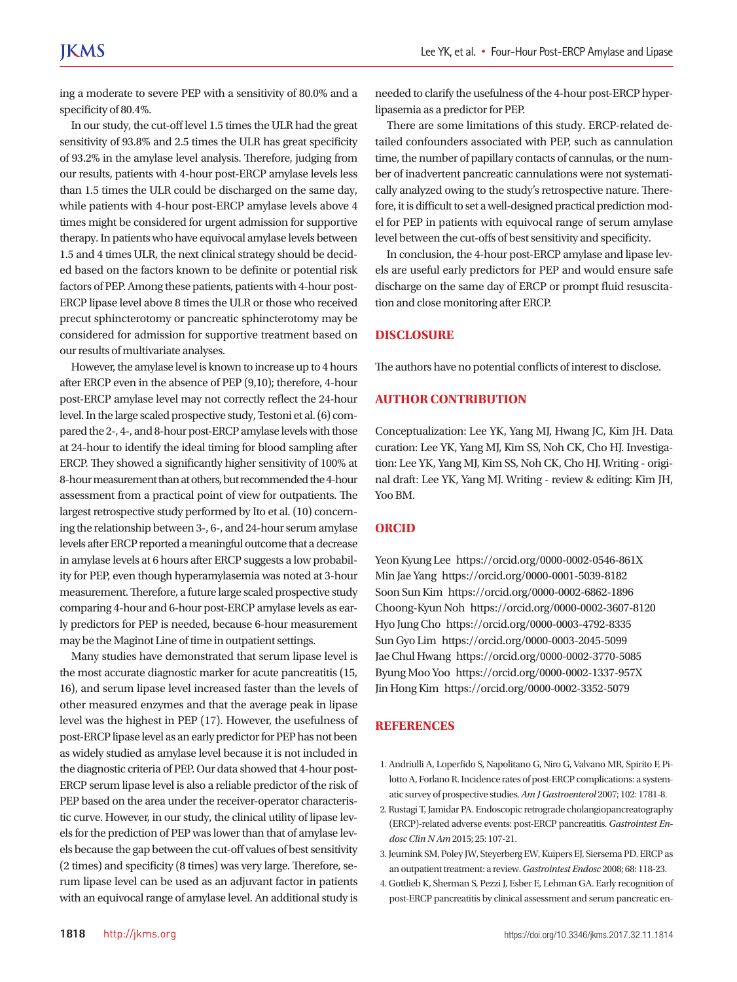ing a moderate to severe PEP with a sensitivity of 80.0% and a specificity of 80.4%.

In our study, the cut-off level 1.5 times the ULR had the great sensitivity of 93.8% and 2.5 times the ULR has great specificity of 93.2% in the amylase level analysis. Therefore, judging from our results, patients with 4-hour post-ERCP amylase levels less than 1.5 times the ULR could be discharged on the same day, while patients with 4-hour post-ERCP amylase levels above 4 times might be considered for urgent admission for supportive therapy. In patients who have equivocal amylase levels between 1.5 and 4 times ULR, the next clinical strategy should be decided based on the factors known to be definite or potential risk factors of PEP. Among these patients, patients with 4-hour post-ERCP lipase level above 8 times the ULR or those who received precut sphincterotomy or pancreatic sphincterotomy may be considered for admission for supportive treatment based on our results of multivariate analyses.

However, the amylase level is known to increase up to 4 hours after ERCP even in the absence of PEP (9,10); therefore, 4-hour post-ERCP amylase level may not correctly reflect the 24-hour level. In the large scaled prospective study, Testoni et al. (6) compared the 2-, 4-, and 8-hour post-ERCP amylase levels with those at 24-hour to identify the ideal timing for blood sampling after ERCP. They showed a significantly higher sensitivity of 100% at 8-hour measurement than at others, but recommended the 4-hour assessment from a practical point of view for outpatients. The largest retrospective study performed by Ito et al. (10) concerning the relationship between 3-, 6-, and 24-hour serum amylase levels after ERCP reported a meaningful outcome that a decrease in amylase levels at 6 hours after ERCP suggests a low probability for PEP, even though hyperamylasemia was noted at 3-hour measurement. Therefore, a future large scaled prospective study comparing 4-hour and 6-hour post-ERCP amylase levels as early predictors for PEP is needed, because 6-hour measurement may be the Maginot Line of time in outpatient settings.

Many studies have demonstrated that serum lipase level is the most accurate diagnostic marker for acute pancreatitis (15, 16), and serum lipase level increased faster than the levels of other measured enzymes and that the average peak in lipase level was the highest in PEP (17). However, the usefulness of post-ERCP lipase level as an early predictor for PEP has not been as widely studied as amylase level because it is not included in the diagnostic criteria of PEP. Our data showed that 4-hour post-ERCP serum lipase level is also a reliable predictor of the risk of PEP based on the area under the receiver-operator characteristic curve. However, in our study, the clinical utility of lipase levels for the prediction of PEP was lower than that of amylase levels because the gap between the cut-off values of best sensitivity (2 times) and specificity (8 times) was very large. Therefore, serum lipase level can be used as an adjuvant factor in patients with an equivocal range of amylase level. An additional study is

needed to clarify the usefulness of the 4-hour post-ERCP hyperlipasemia as a predictor for PEP.

There are some limitations of this study. ERCP-related detailed confounders associated with PEP, such as cannulation time, the number of papillary contacts of cannulas, or the number of inadvertent pancreatic cannulations were not systematically analyzed owing to the study's retrospective nature. Therefore, it is difficult to set a well-designed practical prediction model for PEP in patients with equivocal range of serum amylase level between the cut-offs of best sensitivity and specificity.

In conclusion, the 4-hour post-ERCP amylase and lipase levels are useful early predictors for PEP and would ensure safe discharge on the same day of ERCP or prompt fluid resuscitation and close monitoring after ERCP.

# **DISCLOSURE**

The authors have no potential conflicts of interest to disclose.

#### **AUTHOR CONTRIBUTION**

Conceptualization: Lee YK, Yang MJ, Hwang JC, Kim JH. Data curation: Lee YK, Yang MJ, Kim SS, Noh CK, Cho HJ. Investigation: Lee YK, Yang MJ, Kim SS, Noh CK, Cho HJ. Writing - original draft: Lee YK, Yang MJ. Writing - review & editing: Kim JH, Yoo BM.

# **ORCID**

Yeon Kyung Lee https://orcid.org/0000-0002-0546-861X Min Jae Yang https://orcid.org/0000-0001-5039-8182 Soon Sun Kim https://orcid.org/0000-0002-6862-1896 Choong-Kyun Noh https://orcid.org/0000-0002-3607-8120 Hyo Jung Cho https://orcid.org/0000-0003-4792-8335 Sun Gyo Lim https://orcid.org/0000-0003-2045-5099 Jae Chul Hwang https://orcid.org/0000-0002-3770-5085 Byung Moo Yoo https://orcid.org/0000-0002-1337-957X Jin Hong Kim https://orcid.org/0000-0002-3352-5079

#### **REFERENCES**

- 1. Andriulli A, Loperfido S, Napolitano G, Niro G, Valvano MR, Spirito F, Pilotto A, Forlano R. Incidence rates of post-ERCP complications: a systematic survey of prospective studies. *Am J Gastroenterol* 2007; 102: 1781-8.
- 2. Rustagi T, Jamidar PA. Endoscopic retrograde cholangiopancreatography (ERCP)-related adverse events: post-ERCP pancreatitis. *Gastrointest Endosc Clin N Am* 2015; 25: 107-21.
- 3. Jeurnink SM, Poley JW, Steyerberg EW, Kuipers EJ, Siersema PD. ERCP as an outpatient treatment: a review. *Gastrointest Endosc* 2008; 68: 118-23.
- 4. Gottlieb K, Sherman S, Pezzi J, Esber E, Lehman GA. Early recognition of post-ERCP pancreatitis by clinical assessment and serum pancreatic en-